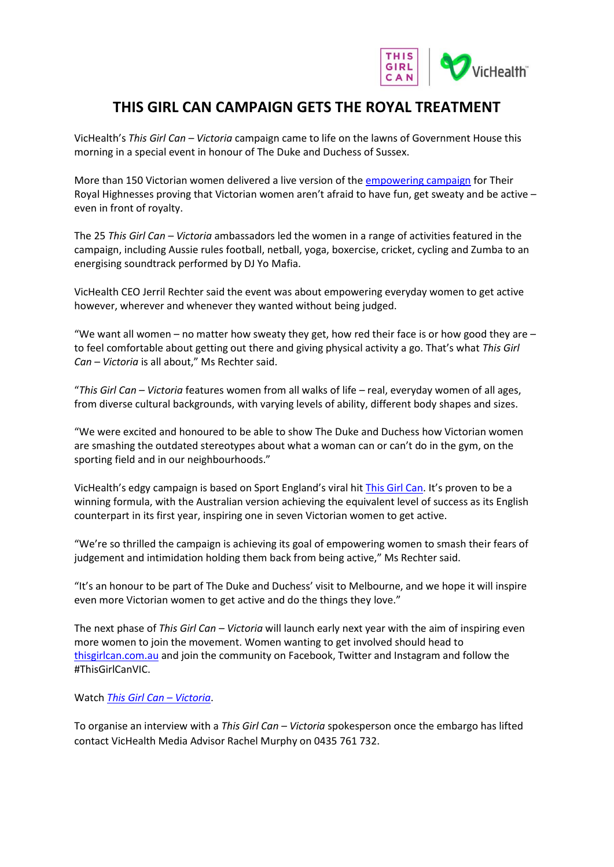

## **THIS GIRL CAN CAMPAIGN GETS THE ROYAL TREATMENT**

VicHealth's *This Girl Can – Victoria* campaign came to life on the lawns of Government House this morning in a special event in honour of The Duke and Duchess of Sussex.

More than 150 Victorian women delivered a live version of th[e empowering campaign](http://www.thisgirlcan.com.au/) for Their Royal Highnesses proving that Victorian women aren't afraid to have fun, get sweaty and be active – even in front of royalty.

The 25 *This Girl Can – Victoria* ambassadors led the women in a range of activities featured in the campaign, including Aussie rules football, netball, yoga, boxercise, cricket, cycling and Zumba to an energising soundtrack performed by DJ Yo Mafia.

VicHealth CEO Jerril Rechter said the event was about empowering everyday women to get active however, wherever and whenever they wanted without being judged.

"We want all women – no matter how sweaty they get, how red their face is or how good they are – to feel comfortable about getting out there and giving physical activity a go. That's what *This Girl Can – Victoria* is all about," Ms Rechter said.

"*This Girl Can – Victoria* features women from all walks of life – real, everyday women of all ages, from diverse cultural backgrounds, with varying levels of ability, different body shapes and sizes.

"We were excited and honoured to be able to show The Duke and Duchess how Victorian women are smashing the outdated stereotypes about what a woman can or can't do in the gym, on the sporting field and in our neighbourhoods."

VicHealth's edgy campaign is based on Sport England's viral hit [This Girl Can](http://www.thisgirlcan.co.uk/). It's proven to be a winning formula, with the Australian version achieving the equivalent level of success as its English counterpart in its first year, inspiring one in seven Victorian women to get active.

"We're so thrilled the campaign is achieving its goal of empowering women to smash their fears of judgement and intimidation holding them back from being active," Ms Rechter said.

"It's an honour to be part of The Duke and Duchess' visit to Melbourne, and we hope it will inspire even more Victorian women to get active and do the things they love."

The next phase of *This Girl Can – Victoria* will launch early next year with the aim of inspiring even more women to join the movement. Women wanting to get involved should head to [thisgirlcan.com.au](http://www.thisgirlcan.com.au/) and join the community o[n Facebook,](https://www.facebook.com/ThisGirlCanVIC/) [Twitter](https://twitter.com/thisgirlcanvic?lang=en) and [Instagram](https://www.instagram.com/thisgirlcanvic/) and follow the #ThisGirlCanVIC.

Watch *[This Girl Can](http://www.thisgirlcan.com.au/) - Victoria*.

To organise an interview with a *This Girl Can – Victoria* spokesperson once the embargo has lifted contact VicHealth Media Advisor Rachel Murphy on 0435 761 732.